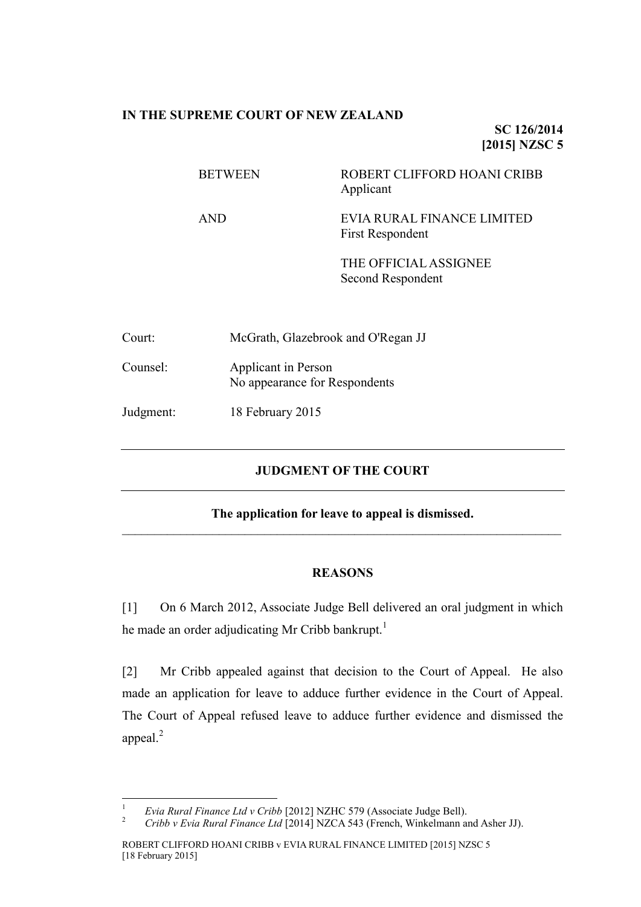## **IN THE SUPREME COURT OF NEW ZEALAND**

**SC 126/2014 [2015] NZSC 5**

| <b>BETWEEN</b> | ROBERT CLIFFORD HOANI CRIBB<br>Applicant              |
|----------------|-------------------------------------------------------|
| AND            | EVIA RURAL FINANCE LIMITED<br><b>First Respondent</b> |
|                | THE OFFICIAL ASSIGNEE<br>Second Respondent            |

| Court:    | McGrath, Glazebrook and O'Regan JJ                   |
|-----------|------------------------------------------------------|
| Counsel:  | Applicant in Person<br>No appearance for Respondents |
| Judgment: | 18 February 2015                                     |

## **JUDGMENT OF THE COURT**

## **The application for leave to appeal is dismissed.**  $\mathcal{L}_\mathcal{L} = \{ \mathcal{L}_\mathcal{L} = \{ \mathcal{L}_\mathcal{L} = \{ \mathcal{L}_\mathcal{L} = \{ \mathcal{L}_\mathcal{L} = \{ \mathcal{L}_\mathcal{L} = \{ \mathcal{L}_\mathcal{L} = \{ \mathcal{L}_\mathcal{L} = \{ \mathcal{L}_\mathcal{L} = \{ \mathcal{L}_\mathcal{L} = \{ \mathcal{L}_\mathcal{L} = \{ \mathcal{L}_\mathcal{L} = \{ \mathcal{L}_\mathcal{L} = \{ \mathcal{L}_\mathcal{L} = \{ \mathcal{L}_\mathcal{$

## **REASONS**

[1] On 6 March 2012, Associate Judge Bell delivered an oral judgment in which he made an order adjudicating Mr Cribb bankrupt.<sup>1</sup>

[2] Mr Cribb appealed against that decision to the Court of Appeal. He also made an application for leave to adduce further evidence in the Court of Appeal. The Court of Appeal refused leave to adduce further evidence and dismissed the appeal.<sup>2</sup>

 $\overline{1}$ <sup>1</sup> *Evia Rural Finance Ltd v Cribb* [2012] NZHC 579 (Associate Judge Bell).<br><sup>2</sup> Cribb v Evia Pural Finance Ltd [2014] NZCA 543 (Franch Winkelmann at

<sup>2</sup> *Cribb v Evia Rural Finance Ltd* [2014] NZCA 543 (French, Winkelmann and Asher JJ).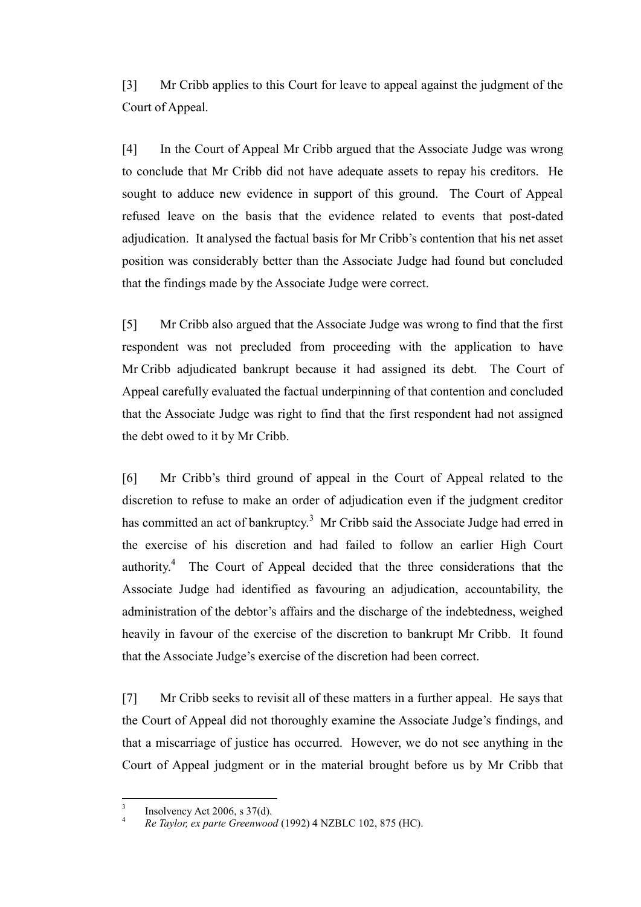[3] Mr Cribb applies to this Court for leave to appeal against the judgment of the Court of Appeal.

[4] In the Court of Appeal Mr Cribb argued that the Associate Judge was wrong to conclude that Mr Cribb did not have adequate assets to repay his creditors. He sought to adduce new evidence in support of this ground. The Court of Appeal refused leave on the basis that the evidence related to events that post-dated adjudication. It analysed the factual basis for Mr Cribb's contention that his net asset position was considerably better than the Associate Judge had found but concluded that the findings made by the Associate Judge were correct.

[5] Mr Cribb also argued that the Associate Judge was wrong to find that the first respondent was not precluded from proceeding with the application to have Mr Cribb adjudicated bankrupt because it had assigned its debt. The Court of Appeal carefully evaluated the factual underpinning of that contention and concluded that the Associate Judge was right to find that the first respondent had not assigned the debt owed to it by Mr Cribb.

[6] Mr Cribb's third ground of appeal in the Court of Appeal related to the discretion to refuse to make an order of adjudication even if the judgment creditor has committed an act of bankruptcy.<sup>3</sup> Mr Cribb said the Associate Judge had erred in the exercise of his discretion and had failed to follow an earlier High Court authority.<sup>4</sup> The Court of Appeal decided that the three considerations that the Associate Judge had identified as favouring an adjudication, accountability, the administration of the debtor's affairs and the discharge of the indebtedness, weighed heavily in favour of the exercise of the discretion to bankrupt Mr Cribb. It found that the Associate Judge's exercise of the discretion had been correct.

[7] Mr Cribb seeks to revisit all of these matters in a further appeal. He says that the Court of Appeal did not thoroughly examine the Associate Judge's findings, and that a miscarriage of justice has occurred. However, we do not see anything in the Court of Appeal judgment or in the material brought before us by Mr Cribb that

 3 Insolvency Act 2006, s 37(d).

<sup>4</sup> *Re Taylor, ex parte Greenwood* (1992) 4 NZBLC 102, 875 (HC).